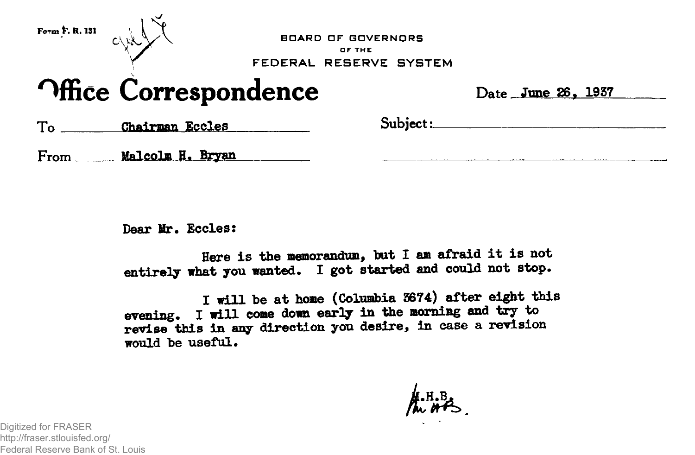

**BDARD OF GDVERNORS or THE FEDERAL RESERVE SYSTEM**

## **Office Correspondence** Date <u>June 26, 1937</u>

To Chairman Eccles Subject:

**From Malcolm B. Bryan**

**Dear Mr. Eccles:**

**Here is the memorandum, bat I am afraid it is not** entirely what you wanted. I got started and could not stop.

**I will be at home (Columbia 3674) after eight this evening. I will come down early in the morning and try to revise this in any direction you desire, in case a revision would be useful.**

**•H.B**

Digitized for FRASER http://fraser.stlouisfed.org/ Federal Reserve Bank of St. Louis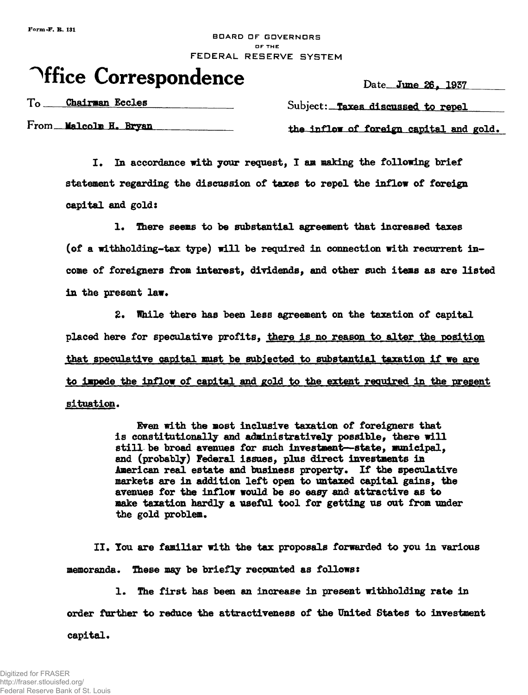## BDARD DF GOVERNORS **DF THE** FEDERAL RESERVE SYSTEM

## **Office Correspondence**

Date June 26, 1937

To Chairman Eccles Subject: Taxes discussed to repel

From **Malcolm H. Bryan the inflow of foreign capital and gold.** 

I. In accordance with your request, I am making the following brief **statement regarding the discussion of taxes to repel the inflow of foreign capital and gold:**

1. There seems to be substantial agreement that increased taxes **(of a withholding-tax type) will be required in connection with recurrent in come of foreigners from interest, dividends, and other such items as are listed** in the present law.

**2. While there has been less agreement on the taxation of capital placed here for speculative profits, there is no reason to alter the position that speculative capital mast be subjected to substantial taxation if we are** to impede the inflow of capital and gold to the extent required in the present situation.

> **Even with the most inclusive taxation of foreigners that is constitutionally and administratively possible, there will still be broad avenues for such investment—state, municipal, and (probably) Federal issues, plus direct investments in American real estate and business property. If the speculative markets are in addition left open to untaxed capital gains, the avenues for the inflow would be so easy and attractive as to make taxation hardly a useful tool for getting us out from under the gold problem.**

**II, You are familiar with the tax proposals forwarded to you in various memoranda. These may be briefly recounted as follows:**

**1. The first has been an increase in present withholding rate in order further to reduce the attractiveness of the United States to investment** capital.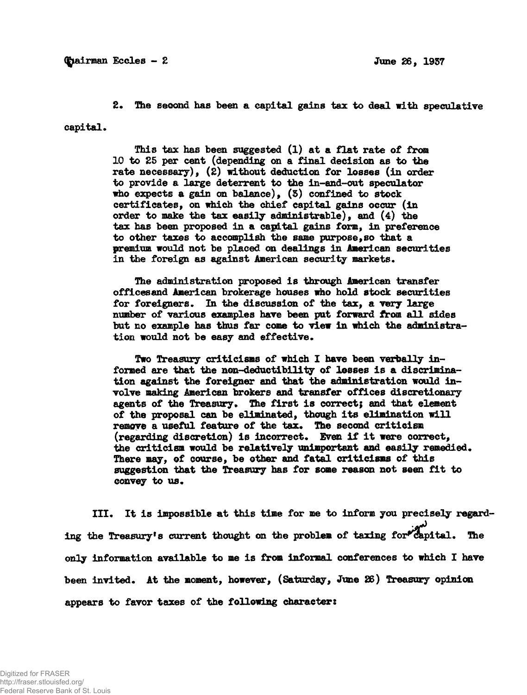**2. The second has been a capital gains tax to deal with speculative** capital.

> **This tax has been suggested (1) at a flat rate of from 10 to 25 per cent (depending on a final decision as to the rate necessary), (2) without deduction for losses (in order to provide a large deterrent to the in-and-out speculator who expects a gain on balance), (S) confined to stock certificates, on which the chief capital gains occur (in order to make the tax easily administrable), and (4) the tax has been proposed in a capital gains form, in preference to other taxes to accomplish the same purpose,so that a premium would not be placed on dealings in American securities in the foreign as against American security markets.**

**The administration proposed is through American transfer officesand American brokerage houses who hold stock securities for foreigners. In the discussion of the tax, a very large number of various examples have been put forward from all sides but no example has thus far come to view in which the administration would not be easy and effective.**

**Two Treasury criticisms of which I have been verbally informed are that the non-deductibility of losses is a discrimination against the foreigner and that the administration would involve making American brokers and transfer offices discretionary** agents of the Treasury. The first is correct; and that element **of the proposal can be eliminated, though its elimination will remove a useful feature of the tax. The second criticism (regarding discretion) is incorrect. Even if it were correct,** the criticism would be relatively unimportant and easily remedied. **There may, of course, be other and fatal criticisms of this suggestion that the Treasury has for some reason not seen fit to convey to us.**

**III. It is impossible at this time for me to inform you precisely regarding the Treasury<sup>1</sup> s current thought on the problem of taxing for^capital. The only information available to me is from informal conferences to which I have been invited. At the moment, however, (Saturday, June 26) Treasury opinion appears to favor taxes of the following character:**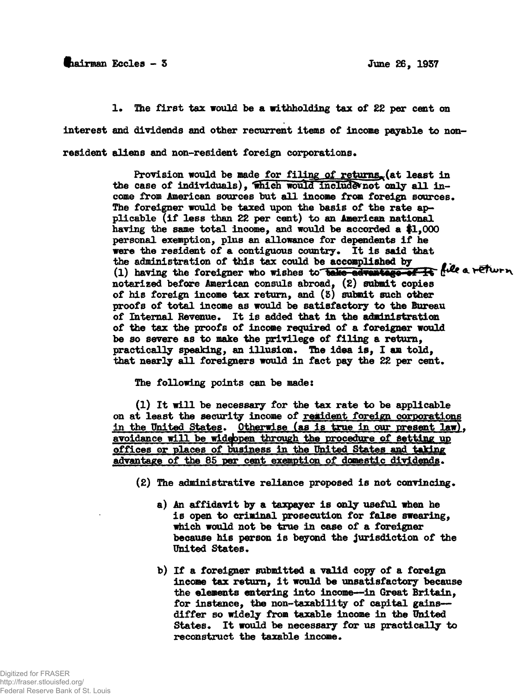## **§iairman Eccles - 3 June 26, 1937**

**1. The first tax would be a withholding tax of 22 per cent on interest and dividends and other recurrent items of income payable to non**resident aliens and non-resident foreign corporations.

> Provision would be made for filing of returns<sub>s</sub> (at least in the case of individuals), which would include not only all income from American sources but all income from foreign sources. **The foreigner would be taxed upon the basis of the rate applicable (if less than 22 per cent) to an American national having the same total income, and would be accorded a #1,000 personal exemption, plus an allowance for dependents if he** were the resident of a contiguous country. It is said that **the administration of this tax could be accomplished by #.** (1) having the foreigner who wishes to belo advantage of it file a return **notarized before American consuls abroad. (2) submit copies of his foreign income tax return, and (5) submit such other proofs of total income as would be satisfactory to the Bureau of Internal Revenue. It is added that in the administration of the tax the proofs of income required of a foreigner would be so severe as to make the privilege of filing a return, practically speaking, an illusion\* The idea is, I am told,** that nearly all foreigners would in fact pay the 22 per cent.

**The following points can be made:**

**(1) It will be necessary for the tax rate to be applicable on at least the security income of resident foreign corporations in the United States. Otherwise (as is true in our present law), avoidance will be widdbpen though the procedure of Setting up offices or places of business in the United States and taking of the 85 per cent exemption of domestic dividends.**

- **(2) The administrative reliance proposed is not convincing.**
	- **a) An affidavit by a taxpayer is only useful when he is open to criminal prosecution for false swearing, which would not be true in case of a foreigner because his person is beyond the jurisdiction of the United States.**
	- **b) If a foreigner submitted a valid copy of a foreign income tax return, it would be unsatisfactory because the elements entering into income—in Great Britain, for instance, the non-taxability of capital gains differ so widely from taxable income in the United States. It would be necessary for us practically to reconstruct the taxable income.**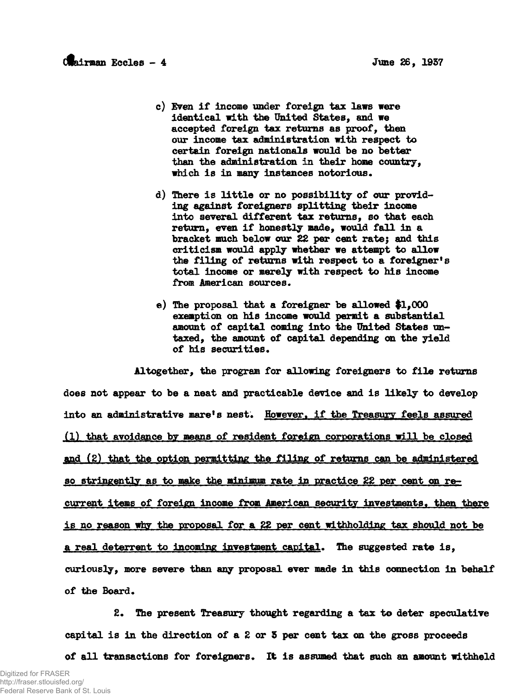- **c) Even if income under foreign tax laws were identical with the United States, and we accepted foreign tax returns as proof, then our income tax administration with respect to certain foreign nationals would be no better than the administration in their home country, which is in many instances notorious.**
- **d) There is little or no possibility of our providing against foreigners splitting their income into several different tax returns, so that each return, even if honestly made, would fall in a bracket much below our 22 per cent rate; and this criticism would apply whether we attempt to allow the filing of returns with respect to a foreigner's total income or merely with respect to his income** from American sources.
- **e) The proposal that a foreigner be allowed #1,000 exemption on his income would permit a substantial** amount of capital coming into the United States un**taxed, the amount of capital depending on the yield** of his securities.

**Altogether, the program for allowing foreigners to file returns does not appear to be a neat and practicable device and is likely to develop** into an administrative mare's nest. However, if the Treasury feels assured **(1) that avoidance by means of resident foreign corporations nil! be closed find (2) that the option permitting the filing of returns can be administered so stringently as to make the minimum rate in practice 22 per cent on recurrent items of foreign income from American security investments, then there is no reason why the proposal for a 22 per cent withholding tax should not be a real deterrent to incoming investment capital\* The suggested rate is, curiously, more severe than any proposal ever made in this connection in behalf of the Board,**

**2\* The present Treasury thought regarding a tax to deter speculative capital is in the direction of a 2 or 5 per cent tax on the gross proceeds of all transactions for foreigners. It is assumed that such an amount withheld**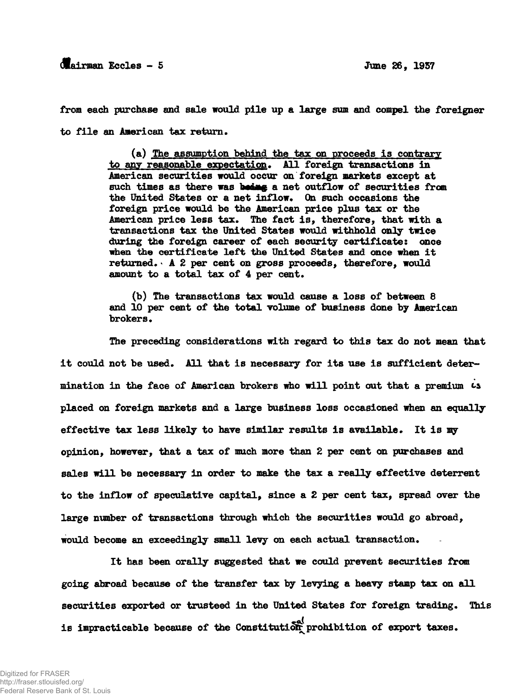from each purchase and sale would pile up a large sum and compel the foreigner to file an American tax return.

> (a) The assumption behind the tax on proceeds is contrary to any reasonable expectation. All foreign transactions in American securities would occur on foreign markets except at such times as there was being a net outflow of securities from the United States or a net inflow. On such occasions the foreign price would be the American price plus tax or the American price less tax. The fact is, therefore, that with a transactions tax the United States would withhold only twice during the foreign career of each security certificate: once when the certificate left the United States and once when it returned. A 2 per cent on gross proceeds, therefore, would amount to a total tax of 4 per cent.

(b) The transactions tax would cause a loss of between 8 and 10 per cent of the total volume of business done by American brokers.

The preceding considerations with regard to this tax do not mean that it could not be used. All that is necessary for its use is sufficient determination in the face of American brokers who will point out that a premium  $\iota$ s placed on foreign markets and a large business loss occasioned when an equally effective tax less likely to have similar results is available. It is my opinion, however, that a tax of much more than 2 per cent on purchases and sales will be necessary in order to make the tax a really effective deterrent to the inflow of speculative capital, since a 2 per cent tax, spread over the large number of transactions through which the securities would go abroad, would become an exceedingly small levy on each actual transaction.

It has been orally suggested that we could prevent securities from. going abroad because of the transfer tax by levying a heavy stamp tax on all securities exported or trusteed in the United States for foreign trading. This is impracticable because of the Constitution prohibition of export taxes.